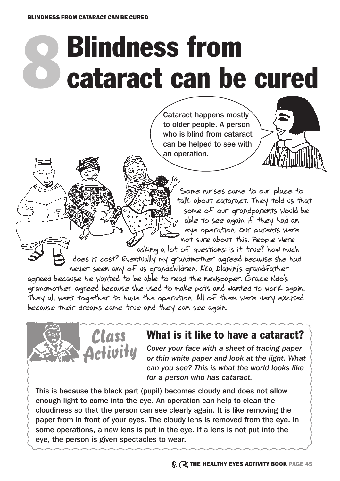## 8 Blindness from cataract can be cured

Cataract happens mostly to older people. A person who is blind from cataract can be helped to see with an operation.



Some nurses came to our place to talk about cataract. They told us that some of our grandparents would be able to see again if they had an eye operation. Our parents were not sure about this. People were asking a lot of questions: is it true? how much

does it cost? Eventually my grandmother agreed because she had never seen any of us grandchildren. Aka Dlamini's grandfather agreed because he wanted to be able to read the newspaper. Grace Ndo's grandmother agreed because she used to make pots and wanted to work again. They all went together to have the operation. All of them were very excited

because their dreams came true and they can see again.



## What is it like to have a cataract?

*Cover your face with a sheet of tracing paper or thin white paper and look at the light. What can you see? This is what the world looks like for a person who has cataract.*

This is because the black part (pupil) becomes cloudy and does not allow enough light to come into the eye. An operation can help to clean the cloudiness so that the person can see clearly again. It is like removing the paper from in front of your eyes. The cloudy lens is removed from the eye. In some operations, a new lens is put in the eye. If a lens is not put into the eye, the person is given spectacles to wear.